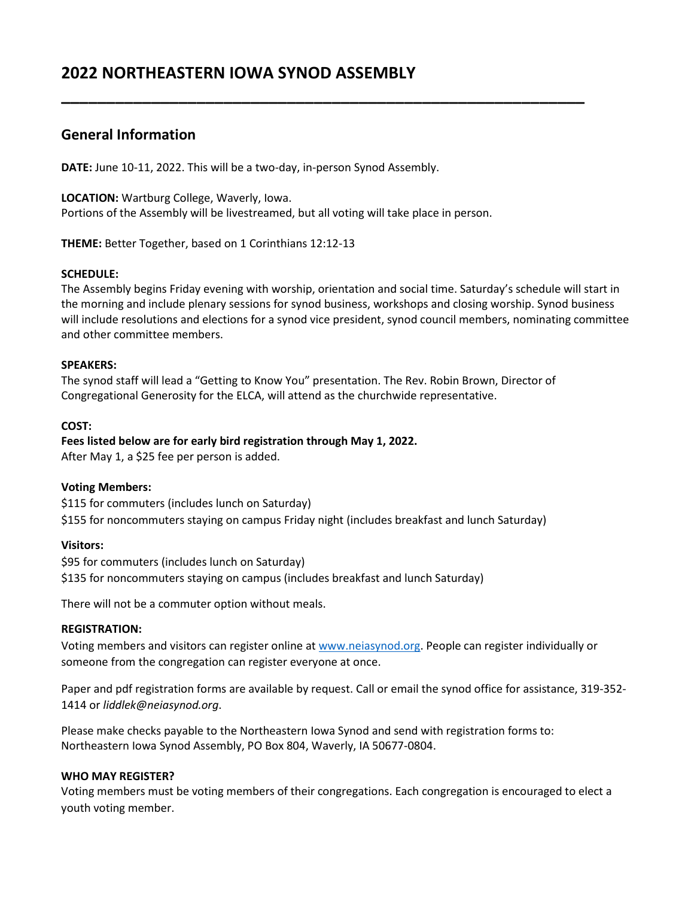# **2022 NORTHEASTERN IOWA SYNOD ASSEMBLY**

# **General Information**

**DATE:** June 10-11, 2022. This will be a two-day, in-person Synod Assembly.

**LOCATION:** Wartburg College, Waverly, Iowa.

Portions of the Assembly will be livestreamed, but all voting will take place in person.

**THEME:** Better Together, based on 1 Corinthians 12:12-13

#### **SCHEDULE:**

The Assembly begins Friday evening with worship, orientation and social time. Saturday's schedule will start in the morning and include plenary sessions for synod business, workshops and closing worship. Synod business will include resolutions and elections for a synod vice president, synod council members, nominating committee and other committee members.

**\_\_\_\_\_\_\_\_\_\_\_\_\_\_\_\_\_\_\_\_\_\_\_\_\_\_\_\_\_\_\_\_\_\_\_\_\_\_\_\_\_\_\_\_\_\_\_\_\_\_\_\_\_\_\_\_\_\_**

#### **SPEAKERS:**

The synod staff will lead a "Getting to Know You" presentation. The Rev. Robin Brown, Director of Congregational Generosity for the ELCA, will attend as the churchwide representative.

#### **COST:**

**Fees listed below are for early bird registration through May 1, 2022.** After May 1, a \$25 fee per person is added.

#### **Voting Members:**

\$115 for commuters (includes lunch on Saturday) \$155 for noncommuters staying on campus Friday night (includes breakfast and lunch Saturday)

#### **Visitors:**

\$95 for commuters (includes lunch on Saturday) \$135 for noncommuters staying on campus (includes breakfast and lunch Saturday)

There will not be a commuter option without meals.

### **REGISTRATION:**

Voting members and visitors can register online at [www.neiasynod.org.](http://www.neiasynod.org/) People can register individually or someone from the congregation can register everyone at once.

Paper and pdf registration forms are available by request. Call or email the synod office for assistance, 319-352- 1414 or *liddlek@neiasynod.org*.

Please make checks payable to the Northeastern Iowa Synod and send with registration forms to: Northeastern Iowa Synod Assembly, PO Box 804, Waverly, IA 50677-0804.

#### **WHO MAY REGISTER?**

Voting members must be voting members of their congregations. Each congregation is encouraged to elect a youth voting member.